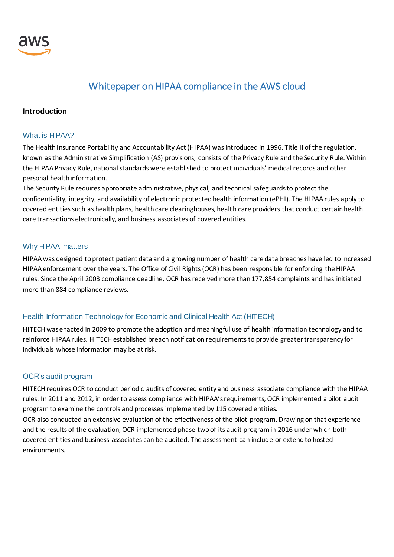

## Whitepaper on HIPAA compliance in the AWS cloud

#### **Introduction**

#### What is HIPAA?

The Health Insurance Portability and Accountability Act (HIPAA) was introduced in 1996. Title II of the regulation, known as the Administrative Simplification (AS) provisions, consists of the Privacy Rule and the Security Rule. Within the HIPAA Privacy Rule, national standards were established to protect individuals' medical records and other personal health information.

The Security Rule requires appropriate administrative, physical, and technical safeguards to protect the confidentiality, integrity, and availability of electronic protected health information (ePHI). The HIPAA rules apply to covered entities such as health plans, health care clearinghouses, health care providers that conduct certain health care transactions electronically, and business associates of covered entities.

#### Why HIPAA matters

HIPAA was designed to protect patient data and a growing number of health care data breaches have led to increased HIPAA enforcement over the years. The Office of Civil Rights (OCR) has been responsible for enforcing the HIPAA rules. Since the April 2003 compliance deadline, OCR has received more than 177,854 complaints and has initiated more than 884 compliance reviews.

#### Health Information Technology for Economic and Clinical Health Act (HITECH)

HITECH was enacted in 2009 to promote the adoption and meaningful use of health information technology and to reinforce HIPAA rules. HITECH established breach notification requirements to provide greater transparency for individuals whose information may be at risk.

#### OCR's audit program

HITECH requires OCR to conduct periodic audits of covered entity and business associate compliance with the HIPAA rules. In 2011 and 2012, in order to assess compliance with HIPAA's requirements, OCR implemented a pilot audit program to examine the controls and processes implemented by 115 covered entities.

OCR also conducted an extensive evaluation of the effectiveness of the pilot program. Drawing on that experience and the results of the evaluation, OCR implemented phase two of its audit program in 2016 under which both covered entities and business associates can be audited. The assessment can include or extend to hosted environments.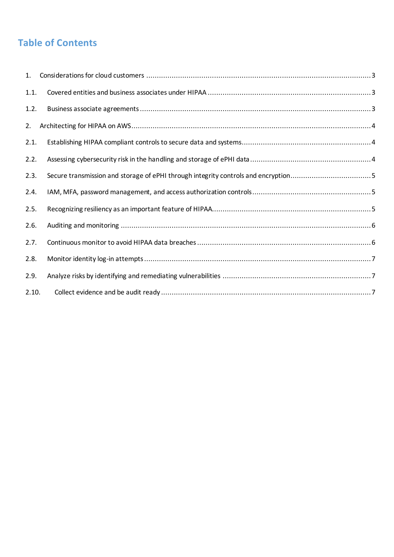# **Table of Contents**

| 1.    |  |
|-------|--|
| 1.1.  |  |
| 1.2.  |  |
| 2.    |  |
| 2.1.  |  |
| 2.2.  |  |
| 2.3.  |  |
| 2.4.  |  |
| 2.5.  |  |
| 2.6.  |  |
| 2.7.  |  |
| 2.8.  |  |
| 2.9.  |  |
| 2.10. |  |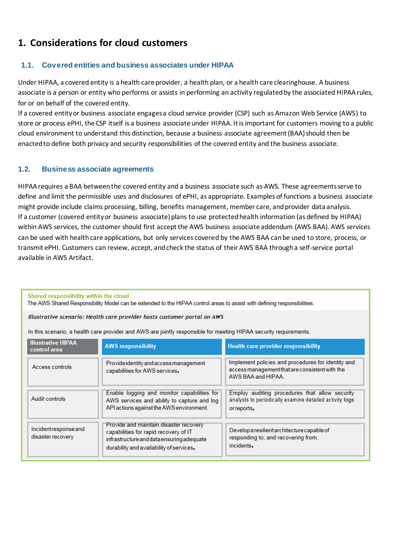## <span id="page-2-0"></span>**1. Considerations for cloud customers**

## <span id="page-2-1"></span>**1.1. Covered entities and business associates under HIPAA**

Under HIPAA, a covered entity is a health care provider, a health plan, or a health care clearinghouse. A business associate is a person or entity who performs or assists in performing an activity regulated by the associated HIPAA rules, for or on behalf of the covered entity.

If a covered entity or business associate engages a cloud service provider (CSP) such as Amazon Web Service (AWS) to store or process ePHI, the CSP itself is a business associate under HIPAA. It is important for customers moving to a public cloud environment to understand this distinction, because a business associate agreement (BAA) should then be enacted to define both privacy and security responsibilities of the covered entity and the business associate.

#### <span id="page-2-2"></span>**1.2. Business associate agreements**

HIPAA requires a BAA between the covered entity and a business associate such as AWS. These agreements serve to define and limit the permissible uses and disclosures of ePHI, as appropriate. Examples of functions a business associate might provide include claims processing, billing, benefits management, member care, and provider data analysis. If a customer (covered entity or business associate) plans to use protected health information (as defined by HIPAA) within AWS services, the customer should first accept the AWS business associate addendum (AWS BAA). AWS services can be used with health care applications, but only services covered by the AWS BAA can be used to store, process, or transmit ePHI. Customers can review, accept, and check the status of their AWS BAA through a self-service portal available in AWS Artifact.

Shared responsibility within the cloud

The AWS Shared Responsibility Model can be extended to the HIPAA control areas to assist with defining responsibilities.

Illustrative scenario: Health care provider hosts customer portal on AWS

In this scenario, a health care provider and AWS are jointly responsible for meeting HIPAA security requirements.

| <b>Illustrative HIPAA</b><br>control area | <b>AWS responsibility</b>                                                                                                                                                | <b>Health care provider responsibility</b>                                                                                 |
|-------------------------------------------|--------------------------------------------------------------------------------------------------------------------------------------------------------------------------|----------------------------------------------------------------------------------------------------------------------------|
| Access controls                           | Provide identity and access management<br>capabilities for AWS services.                                                                                                 | Implement policies and procedures for identity and<br>access management that are consistent with the<br>AWS BAA and HIPAA. |
| Audit controls                            | Enable logging and monitor capabilities for<br>AWS services and ability to capture and log<br>API actions against the AWS environment.                                   | Employ auditing procedures that allow security<br>analysts to periodically examine detailed activity logs<br>or reports.   |
| Incidentresponse and<br>disaster recovery | Provide and maintain disaster recovery<br>capabilities for rapid recovery of IT<br>infrastructure and data ensuring adequate<br>durability and availability of services. | Developa resilient architecture capable of<br>responding to, and recovering from,<br>incidents.                            |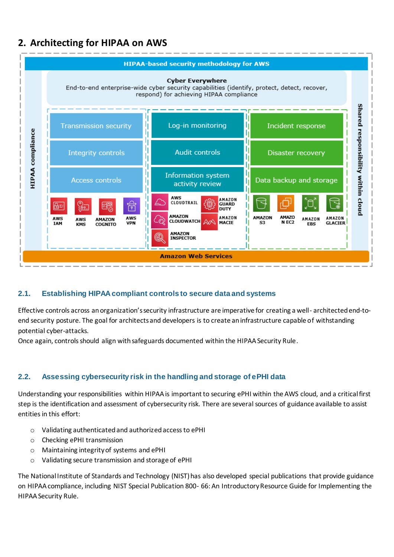## <span id="page-3-0"></span>**2. Architecting for HIPAA on AWS**



## <span id="page-3-1"></span>**2.1. Establishing HIPAA compliant controls to secure data and systems**

Effective controls across an organization's security infrastructure are imperative for creating a well- architected end-toend security posture. The goal for architects and developers is to create an infrastructure capable of withstanding potential cyber-attacks.

Once again, controls should align with safeguards documented within the HIPAA Security Rule.

## <span id="page-3-2"></span>**2.2. Assessing cybersecurity risk in the handling and storage of ePHI data**

Understanding your responsibilities within HIPAA is important to securing ePHI within the AWS cloud, and a critical first step is the identification and assessment of cybersecurity risk. There are several sources of guidance available to assist entities in this effort:

- o Validating authenticated and authorized access to ePHI
- o Checking ePHI transmission
- o Maintaining integrity of systems and ePHI
- o Validating secure transmission and storage of ePHI

The National Institute of Standards and Technology (NIST) has also developed special publications that provide guidance on HIPAA compliance, including NIST Special Publication 800- 66: An Introductory Resource Guide for Implementing the HIPAA Security Rule.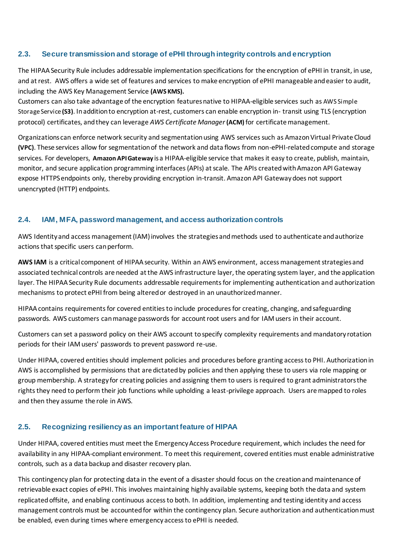## <span id="page-4-0"></span>**2.3. Secure transmission and storage of ePHI through integrity controls and encryption**

The HIPAA Security Rule includes addressable implementation specifications for the encryption of ePHI in transit, in use, and at rest. AWS offers a wide set of features and services to make encryption of ePHI manageable and easier to audit, including the AWS Key Management Service **(AWS KMS).**

Customers can also take advantage of the encryption features native to HIPAA-eligible services such as AWS Simple Storage Service **(S3)**. In addition to encryption at-rest, customers can enable encryption in- transit using TLS (encryption protocol) certificates, and they can leverage *AWS Certificate Manager* **(ACM)**for certificate management.

Organizations can enforce network security and segmentation using AWS services such as Amazon Virtual Private Cloud **(VPC)**. These services allow for segmentation of the network and data flows from non-ePHI-related compute and storage services. For developers, **Amazon API Gateway** is a HIPAA-eligible service that makes it easy to create, publish, maintain, monitor, and secure application programming interfaces (APIs) at scale. The APIs created with Amazon API Gateway expose HTTPS endpoints only, thereby providing encryption in-transit. Amazon API Gateway does not support unencrypted (HTTP) endpoints.

#### <span id="page-4-1"></span>**2.4. IAM, MFA, password management, and access authorization controls**

AWS Identity and access management (IAM) involves the strategies and methods used to authenticate and authorize actions that specific users can perform.

**AWS IAM** is a critical component of HIPAA security. Within an AWS environment, access management strategies and associated technical controls are needed at the AWS infrastructure layer, the operating system layer, and the application layer. The HIPAA Security Rule documents addressable requirements for implementing authentication and authorization mechanisms to protect ePHI from being altered or destroyed in an unauthorized manner.

HIPAA contains requirements for covered entities to include procedures for creating, changing, and safeguarding passwords. AWS customers can manage passwords for account root users and for IAM users in their account.

Customers can set a password policy on their AWS account tospecify complexity requirements and mandatory rotation periods for their IAM users' passwords to prevent password re-use.

Under HIPAA, covered entities should implement policies and procedures before granting access to PHI. Authorization in AWS is accomplished by permissions that are dictated by policies and then applying these to users via role mapping or group membership. A strategy for creating policies and assigning them to users is required to grant administrators the rights they need to perform their job functions while upholding a least-privilege approach. Users are mapped to roles and then they assume the role in AWS.

## <span id="page-4-2"></span>**2.5. Recognizing resiliency as an important feature of HIPAA**

Under HIPAA, covered entities must meet the Emergency Access Procedure requirement, which includes the need for availability in any HIPAA-compliant environment. To meet this requirement, covered entities must enable administrative controls, such as a data backup and disaster recovery plan.

This contingency plan for protecting data in the event of a disaster should focus on the creation and maintenance of retrievable exact copies of ePHI. This involves maintaining highly available systems, keeping both the data and system replicated offsite, and enabling continuous access to both. In addition, implementing and testing identity and access management controls must be accounted for within the contingency plan. Secure authorization and authentication must be enabled, even during times where emergency access to ePHI is needed.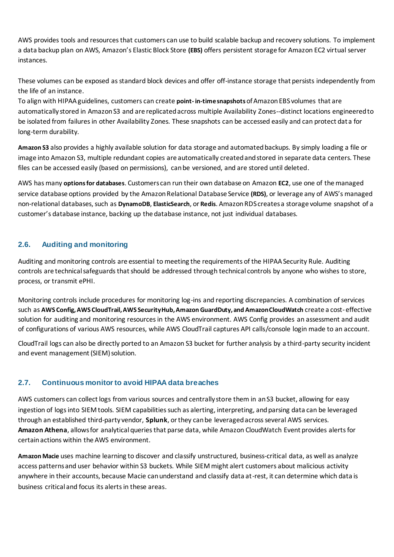AWS provides tools and resources that customers can use to build scalable backup and recovery solutions. To implement a data backup plan on AWS, Amazon's Elastic Block Store **(EBS)** offers persistent storage for Amazon EC2 virtual server instances.

These volumes can be exposed as standard block devices and offer off-instance storage that persists independently from the life of an instance.

To align with HIPAA guidelines, customers can create **point- in-time snapshots** of Amazon EBS volumes that are automatically stored in Amazon S3 and are replicated across multiple Availability Zones--distinct locations engineered to be isolated from failures in other Availability Zones. These snapshots can be accessed easily and can protect data for long-term durability.

**Amazon S3** also provides a highly available solution for data storage and automated backups. By simply loading a file or image into Amazon S3, multiple redundant copies are automatically created and stored in separate data centers. These files can be accessed easily (based on permissions), can be versioned, and are stored until deleted.

AWS has many **options for databases**. Customers can run their own database on Amazon **EC2**, use one of the managed service database options provided by the Amazon Relational Database Service **(RDS)**, or leverage any of AWS's managed non-relational databases, such as **DynamoDB**, **ElasticSearch**, or **Redis**. Amazon RDS creates a storage volume snapshot of a customer's database instance, backing up the database instance, not just individual databases.

## <span id="page-5-0"></span>**2.6. Auditing and monitoring**

Auditing and monitoring controls are essential to meeting the requirements of the HIPAA Security Rule. Auditing controls are technical safeguards that should be addressed through technical controls by anyone who wishes to store, process, or transmit ePHI.

Monitoring controls include procedures for monitoring log-ins and reporting discrepancies. A combination of services such as **AWS Config, AWS CloudTrail, AWS Security Hub, Amazon GuardDuty, and Amazon CloudWatch** create a cost-effective solution for auditing and monitoring resources in the AWS environment. AWS Config provides an assessment and audit of configurations of various AWS resources, while AWS CloudTrail captures API calls/console login made to an account.

CloudTrail logs can also be directly ported to an Amazon S3 bucket for further analysis by a third-party security incident and event management (SIEM) solution.

## <span id="page-5-1"></span>**2.7. Continuous monitor to avoid HIPAA data breaches**

AWS customers can collect logs from various sources and centrally store them in an S3 bucket, allowing for easy ingestion of logs into SIEM tools. SIEM capabilities such as alerting, interpreting, and parsing data can be leveraged through an established third-party vendor, **Splunk**, or they can be leveraged across several AWS services. **Amazon Athena**, allows for analytical queries that parse data, while Amazon CloudWatch Event provides alerts for certain actions within the AWS environment.

**Amazon Macie** uses machine learning to discover and classify unstructured, business-critical data, as well as analyze access patterns and user behavior within S3 buckets. While SIEM might alert customers about malicious activity anywhere in their accounts, because Macie can understand and classify data at-rest, it can determine which data is business critical and focus its alerts in these areas.